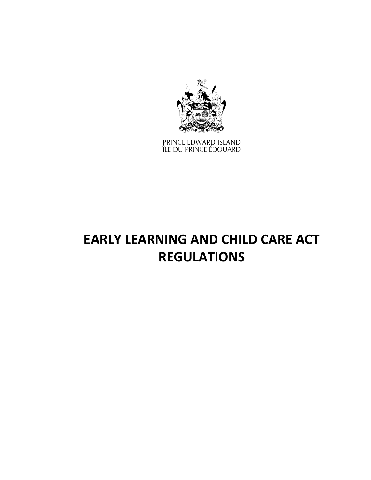

PRINCE EDWARD ISLAND<br>ÎLE-DU-PRINCE-ÉDOUARD

# **EARLY LEARNING AND CHILD CARE ACT REGULATIONS**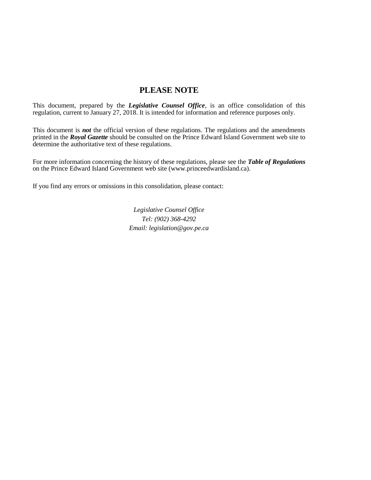# **PLEASE NOTE**

This document, prepared by the *[Legislative Counsel Office](http://www.gov.pe.ca/jps/index.php3?number=1027247)*, is an office consolidation of this regulation, current to January 27, 2018. It is intended for information and reference purposes only.

This document is *not* the official version of these regulations. The regulations and the amendments printed in the *Royal Gazette* should be consulted on the Prince Edward Island Government web site to determine the authoritative text of these regulations.

For more information concerning the history of these regulations, please see the *[Table of Regulations](https://www.princeedwardisland.ca/sites/default/files/publications/leg_table_acts.pdf)* on the Prince Edward Island Government web site (www.princeedwardisland.ca).

If you find any errors or omissions in this consolidation, please contact:

*Legislative Counsel Office Tel: (902) 368-4292 Email: legislation@gov.pe.ca*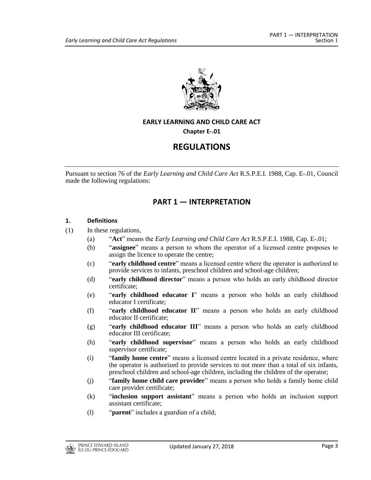

# **EARLY LEARNING AND CHILD CARE ACT**

**Chapter E-.01**

# **REGULATIONS**

Pursuant to section 76 of the *Early Learning and Child Care Act* R.S.P.E.I. 1988, Cap. E-.01, Council made the following regulations:

# **PART 1 — INTERPRETATION**

#### **1. Definitions**

- (1) In these regulations,
	- (a) "**Act**" means the *Early Learning and Child Care Act* R.S.P.E.I. 1988, Cap. E-.01;
	- (b) "**assignee**" means a person to whom the operator of a licensed centre proposes to assign the licence to operate the centre;
	- (c) "**early childhood centre**" means a licensed centre where the operator is authorized to provide services to infants, preschool children and school-age children;
	- (d) "**early childhood director**" means a person who holds an early childhood director certificate;
	- (e) "**early childhood educator I**" means a person who holds an early childhood educator I certificate;
	- (f) "**early childhood educator II**" means a person who holds an early childhood educator II certificate;
	- (g) "**early childhood educator III**" means a person who holds an early childhood educator III certificate;
	- (h) "**early childhood supervisor**" means a person who holds an early childhood supervisor certificate;
	- (i) "**family home centre**" means a licensed centre located in a private residence, where the operator is authorized to provide services to not more than a total of six infants, preschool children and school-age children, including the children of the operator;
	- (j) "**family home child care provider**" means a person who holds a family home child care provider certificate;
	- (k) "**inclusion support assistant**" means a person who holds an inclusion support assistant certificate;
	- (l) "**parent**" includes a guardian of a child;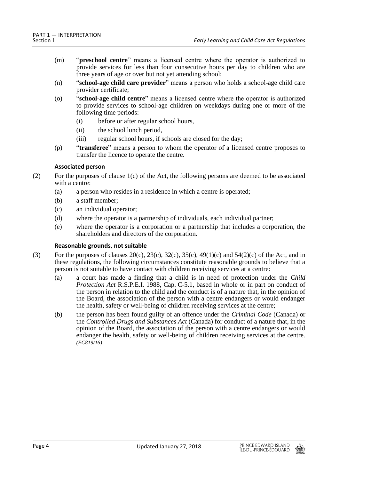- (m) "**preschool centre**" means a licensed centre where the operator is authorized to provide services for less than four consecutive hours per day to children who are three years of age or over but not yet attending school;
- (n) "**school-age child care provider**" means a person who holds a school-age child care provider certificate;
- (o) "**school-age child centre**" means a licensed centre where the operator is authorized to provide services to school-age children on weekdays during one or more of the following time periods:
	- (i) before or after regular school hours,
	- (ii) the school lunch period,
	- (iii) regular school hours, if schools are closed for the day;
- (p) "**transferee**" means a person to whom the operator of a licensed centre proposes to transfer the licence to operate the centre.

## **Associated person**

- (2) For the purposes of clause 1(c) of the Act, the following persons are deemed to be associated with a centre:
	- (a) a person who resides in a residence in which a centre is operated;
	- (b) a staff member;
	- (c) an individual operator;
	- (d) where the operator is a partnership of individuals, each individual partner;
	- (e) where the operator is a corporation or a partnership that includes a corporation, the shareholders and directors of the corporation.

#### **Reasonable grounds, not suitable**

- (3) For the purposes of clauses  $20(c)$ ,  $23(c)$ ,  $32(c)$ ,  $35(c)$ ,  $49(1)(c)$  and  $54(2)(c)$  of the Act, and in these regulations, the following circumstances constitute reasonable grounds to believe that a person is not suitable to have contact with children receiving services at a centre:
	- (a) a court has made a finding that a child is in need of protection under the *Child Protection Act* R.S.P.E.I. 1988, Cap. C-5.1, based in whole or in part on conduct of the person in relation to the child and the conduct is of a nature that, in the opinion of the Board, the association of the person with a centre endangers or would endanger the health, safety or well-being of children receiving services at the centre;
	- (b) the person has been found guilty of an offence under the *Criminal Code* (Canada) or the *Controlled Drugs and Substances Act* (Canada) for conduct of a nature that, in the opinion of the Board, the association of the person with a centre endangers or would endanger the health, safety or well-being of children receiving services at the centre. *(EC819/16)*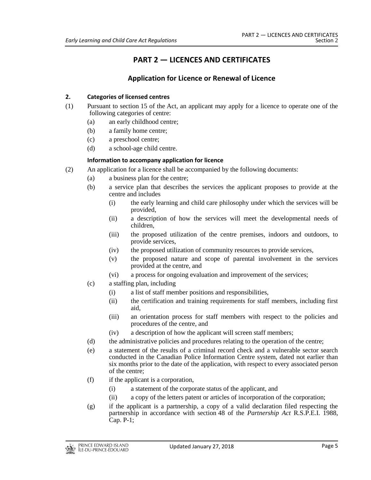# **PART 2 — LICENCES AND CERTIFICATES**

# **Application for Licence or Renewal of Licence**

# **2. Categories of licensed centres**

- (1) Pursuant to section 15 of the Act, an applicant may apply for a licence to operate one of the following categories of centre:
	- (a) an early childhood centre;
	- (b) a family home centre;
	- (c) a preschool centre;
	- (d) a school-age child centre.

# **Information to accompany application for licence**

- (2) An application for a licence shall be accompanied by the following documents:
	- (a) a business plan for the centre;
	- (b) a service plan that describes the services the applicant proposes to provide at the centre and includes
		- (i) the early learning and child care philosophy under which the services will be provided,
		- (ii) a description of how the services will meet the developmental needs of children,
		- (iii) the proposed utilization of the centre premises, indoors and outdoors, to provide services,
		- (iv) the proposed utilization of community resources to provide services,
		- (v) the proposed nature and scope of parental involvement in the services provided at the centre, and
		- (vi) a process for ongoing evaluation and improvement of the services;
	- (c) a staffing plan, including
		- (i) a list of staff member positions and responsibilities,
		- (ii) the certification and training requirements for staff members, including first aid,
		- (iii) an orientation process for staff members with respect to the policies and procedures of the centre, and
		- (iv) a description of how the applicant will screen staff members;
	- (d) the administrative policies and procedures relating to the operation of the centre;
	- (e) a statement of the results of a criminal record check and a vulnerable sector search conducted in the Canadian Police Information Centre system, dated not earlier than six months prior to the date of the application, with respect to every associated person of the centre;
	- (f) if the applicant is a corporation,
		- (i) a statement of the corporate status of the applicant, and
		- (ii) a copy of the letters patent or articles of incorporation of the corporation;
	- (g) if the applicant is a partnership, a copy of a valid declaration filed respecting the partnership in accordance with section 48 of the *Partnership Act* R.S.P.E.I. 1988, Cap. P-1;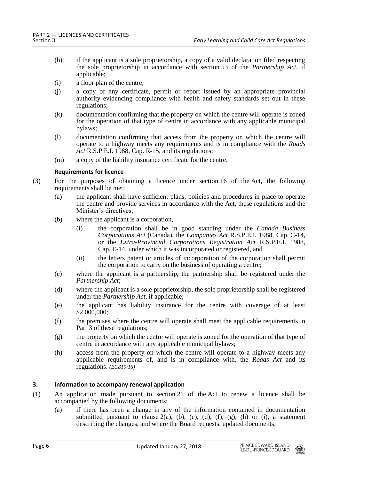- (h) if the applicant is a sole proprietorship, a copy of a valid declaration filed respecting the sole proprietorship in accordance with section 53 of the *Partnership Act*, if applicable;
- (i) a floor plan of the centre;
- (j) a copy of any certificate, permit or report issued by an appropriate provincial authority evidencing compliance with health and safety standards set out in these regulations;
- (k) documentation confirming that the property on which the centre will operate is zoned for the operation of that type of centre in accordance with any applicable municipal bylaws;
- (l) documentation confirming that access from the property on which the centre will operate to a highway meets any requirements and is in compliance with the *Roads Act* R.S.P.E.I. 1988, Cap. R-15, and its regulations;
- (m) a copy of the liability insurance certificate for the centre.

## **Requirements for licence**

- (3) For the purposes of obtaining a licence under section 16 of the Act, the following requirements shall be met:
	- (a) the applicant shall have sufficient plans, policies and procedures in place to operate the centre and provide services in accordance with the Act, these regulations and the Minister's directives;
	- (b) where the applicant is a corporation,
		- (i) the corporation shall be in good standing under the *Canada Business Corporations Act* (Canada), the *Companies Act* R.S.P.E.I. 1988, Cap. C-14, or the *Extra-Provincial Corporations Registration Act* R.S.P.E.I. 1988, Cap. E-14, under which it was incorporated or registered, and
		- (ii) the letters patent or articles of incorporation of the corporation shall permit the corporation to carry on the business of operating a centre;
	- (c) where the applicant is a partnership, the partnership shall be registered under the *Partnership Act*;
	- (d) where the applicant is a sole proprietorship, the sole proprietorship shall be registered under the *Partnership Act*, if applicable;
	- (e) the applicant has liability insurance for the centre with coverage of at least \$2,000,000;
	- (f) the premises where the centre will operate shall meet the applicable requirements in Part 3 of these regulations;
	- (g) the property on which the centre will operate is zoned for the operation of that type of centre in accordance with any applicable municipal bylaws;
	- (h) access from the property on which the centre will operate to a highway meets any applicable requirements of, and is in compliance with, the *Roads Act* and its regulations. *(EC819/16)*

# **3. Information to accompany renewal application**

- (1) An application made pursuant to section 21 of the Act to renew a licence shall be accompanied by the following documents:
	- (a) if there has been a change in any of the information contained in documentation submitted pursuant to clause  $2(a)$ , (b), (c), (d), (f), (g), (h) or (i), a statement describing the changes, and where the Board requests, updated documents;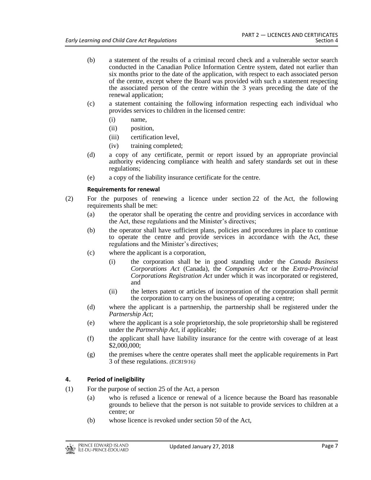- (b) a statement of the results of a criminal record check and a vulnerable sector search conducted in the Canadian Police Information Centre system, dated not earlier than six months prior to the date of the application, with respect to each associated person of the centre, except where the Board was provided with such a statement respecting the associated person of the centre within the 3 years preceding the date of the renewal application;
- (c) a statement containing the following information respecting each individual who provides services to children in the licensed centre:
	- (i) name,
	- (ii) position,
	- (iii) certification level,
	- (iv) training completed;
- (d) a copy of any certificate, permit or report issued by an appropriate provincial authority evidencing compliance with health and safety standards set out in these regulations;
- (e) a copy of the liability insurance certificate for the centre.

# **Requirements for renewal**

- (2) For the purposes of renewing a licence under section 22 of the Act, the following requirements shall be met:
	- (a) the operator shall be operating the centre and providing services in accordance with the Act, these regulations and the Minister's directives;
	- (b) the operator shall have sufficient plans, policies and procedures in place to continue to operate the centre and provide services in accordance with the Act, these regulations and the Minister's directives;
	- (c) where the applicant is a corporation,
		- (i) the corporation shall be in good standing under the *Canada Business Corporations Act* (Canada), the *Companies Act* or the *Extra-Provincial Corporations Registration Act* under which it was incorporated or registered, and
		- (ii) the letters patent or articles of incorporation of the corporation shall permit the corporation to carry on the business of operating a centre;
	- (d) where the applicant is a partnership, the partnership shall be registered under the *Partnership Act*;
	- (e) where the applicant is a sole proprietorship, the sole proprietorship shall be registered under the *Partnership Act*, if applicable;
	- (f) the applicant shall have liability insurance for the centre with coverage of at least \$2,000,000;
	- (g) the premises where the centre operates shall meet the applicable requirements in Part 3 of these regulations. *(EC819/16)*

# **4. Period of ineligibility**

- (1) For the purpose of section 25 of the Act, a person
	- (a) who is refused a licence or renewal of a licence because the Board has reasonable grounds to believe that the person is not suitable to provide services to children at a centre; or
	- (b) whose licence is revoked under section 50 of the Act,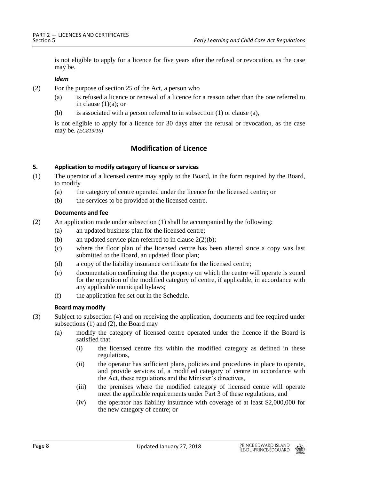is not eligible to apply for a licence for five years after the refusal or revocation, as the case may be.

## *Idem*

(2) For the purpose of section 25 of the Act, a person who

- (a) is refused a licence or renewal of a licence for a reason other than the one referred to in clause  $(1)(a)$ ; or
- (b) is associated with a person referred to in subsection (1) or clause (a),

is not eligible to apply for a licence for 30 days after the refusal or revocation, as the case may be. *(EC819/16)*

# **Modification of Licence**

# **5. Application to modify category of licence or services**

- (1) The operator of a licensed centre may apply to the Board, in the form required by the Board, to modify
	- (a) the category of centre operated under the licence for the licensed centre; or
	- (b) the services to be provided at the licensed centre.

## **Documents and fee**

- (2) An application made under subsection (1) shall be accompanied by the following:
	- (a) an updated business plan for the licensed centre;
	- (b) an updated service plan referred to in clause  $2(2)(b)$ ;
	- (c) where the floor plan of the licensed centre has been altered since a copy was last submitted to the Board, an updated floor plan;
	- (d) a copy of the liability insurance certificate for the licensed centre;
	- (e) documentation confirming that the property on which the centre will operate is zoned for the operation of the modified category of centre, if applicable, in accordance with any applicable municipal bylaws;
	- (f) the application fee set out in the Schedule.

# **Board may modify**

- (3) Subject to subsection (4) and on receiving the application, documents and fee required under subsections (1) and (2), the Board may
	- (a) modify the category of licensed centre operated under the licence if the Board is satisfied that
		- (i) the licensed centre fits within the modified category as defined in these regulations,
		- (ii) the operator has sufficient plans, policies and procedures in place to operate, and provide services of, a modified category of centre in accordance with the Act, these regulations and the Minister's directives,
		- (iii) the premises where the modified category of licensed centre will operate meet the applicable requirements under Part 3 of these regulations, and
		- (iv) the operator has liability insurance with coverage of at least \$2,000,000 for the new category of centre; or

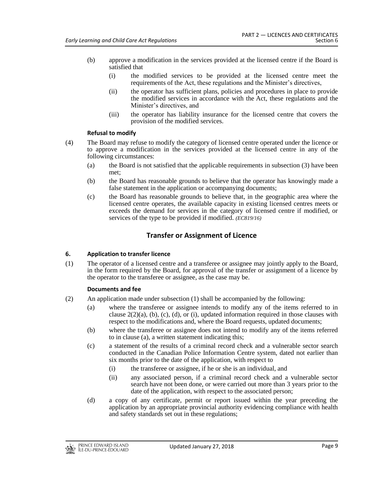- (b) approve a modification in the services provided at the licensed centre if the Board is satisfied that
	- (i) the modified services to be provided at the licensed centre meet the requirements of the Act, these regulations and the Minister's directives,
	- (ii) the operator has sufficient plans, policies and procedures in place to provide the modified services in accordance with the Act, these regulations and the Minister's directives, and
	- (iii) the operator has liability insurance for the licensed centre that covers the provision of the modified services.

# **Refusal to modify**

- (4) The Board may refuse to modify the category of licensed centre operated under the licence or to approve a modification in the services provided at the licensed centre in any of the following circumstances:
	- (a) the Board is not satisfied that the applicable requirements in subsection (3) have been met;
	- (b) the Board has reasonable grounds to believe that the operator has knowingly made a false statement in the application or accompanying documents;
	- (c) the Board has reasonable grounds to believe that, in the geographic area where the licensed centre operates, the available capacity in existing licensed centres meets or exceeds the demand for services in the category of licensed centre if modified, or services of the type to be provided if modified. *(EC819/16)*

# **Transfer or Assignment of Licence**

# **6. Application to transfer licence**

(1) The operator of a licensed centre and a transferee or assignee may jointly apply to the Board, in the form required by the Board, for approval of the transfer or assignment of a licence by the operator to the transferee or assignee, as the case may be.

# **Documents and fee**

- (2) An application made under subsection (1) shall be accompanied by the following:
	- (a) where the transferee or assignee intends to modify any of the items referred to in clause  $2(2)(a)$ ,  $(b)$ ,  $(c)$ ,  $(d)$ , or  $(i)$ , updated information required in those clauses with respect to the modifications and, where the Board requests, updated documents;
	- (b) where the transferee or assignee does not intend to modify any of the items referred to in clause (a), a written statement indicating this;
	- (c) a statement of the results of a criminal record check and a vulnerable sector search conducted in the Canadian Police Information Centre system, dated not earlier than six months prior to the date of the application, with respect to
		- (i) the transferee or assignee, if he or she is an individual, and
		- (ii) any associated person, if a criminal record check and a vulnerable sector search have not been done, or were carried out more than 3 years prior to the date of the application, with respect to the associated person;
	- (d) a copy of any certificate, permit or report issued within the year preceding the application by an appropriate provincial authority evidencing compliance with health and safety standards set out in these regulations;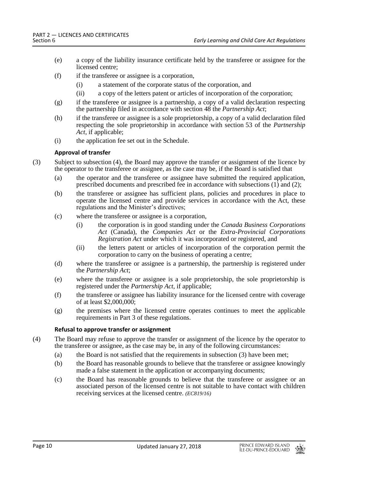- (e) a copy of the liability insurance certificate held by the transferee or assignee for the licensed centre;
- (f) if the transferee or assignee is a corporation,
	- (i) a statement of the corporate status of the corporation, and
	- (ii) a copy of the letters patent or articles of incorporation of the corporation;
- (g) if the transferee or assignee is a partnership, a copy of a valid declaration respecting the partnership filed in accordance with section 48 the *Partnership Act*;
- (h) if the transferee or assignee is a sole proprietorship, a copy of a valid declaration filed respecting the sole proprietorship in accordance with section 53 of the *Partnership Act*, if applicable;
- (i) the application fee set out in the Schedule.

## **Approval of transfer**

- (3) Subject to subsection (4), the Board may approve the transfer or assignment of the licence by the operator to the transferee or assignee, as the case may be, if the Board is satisfied that
	- (a) the operator and the transferee or assignee have submitted the required application, prescribed documents and prescribed fee in accordance with subsections (1) and (2);
	- (b) the transferee or assignee has sufficient plans, policies and procedures in place to operate the licensed centre and provide services in accordance with the Act, these regulations and the Minister's directives;
	- (c) where the transferee or assignee is a corporation,
		- (i) the corporation is in good standing under the *Canada Business Corporations Act* (Canada), the *Companies Act* or the *Extra-Provincial Corporations Registration Act* under which it was incorporated or registered, and
		- (ii) the letters patent or articles of incorporation of the corporation permit the corporation to carry on the business of operating a centre;
	- (d) where the transferee or assignee is a partnership, the partnership is registered under the *Partnership Act*;
	- (e) where the transferee or assignee is a sole proprietorship, the sole proprietorship is registered under the *Partnership Act*, if applicable;
	- (f) the transferee or assignee has liability insurance for the licensed centre with coverage of at least \$2,000,000;
	- (g) the premises where the licensed centre operates continues to meet the applicable requirements in Part 3 of these regulations.

# **Refusal to approve transfer or assignment**

- (4) The Board may refuse to approve the transfer or assignment of the licence by the operator to the transferee or assignee, as the case may be, in any of the following circumstances:
	- (a) the Board is not satisfied that the requirements in subsection (3) have been met;
	- (b) the Board has reasonable grounds to believe that the transferee or assignee knowingly made a false statement in the application or accompanying documents;
	- (c) the Board has reasonable grounds to believe that the transferee or assignee or an associated person of the licensed centre is not suitable to have contact with children receiving services at the licensed centre. *(EC819/16)*

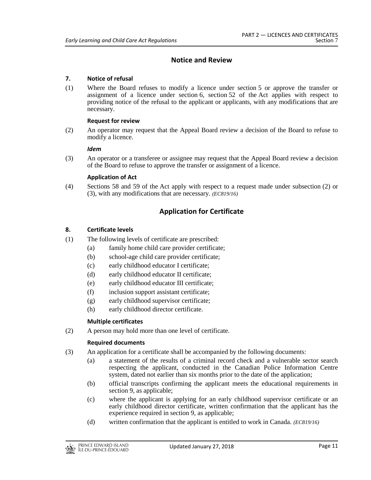# **Notice and Review**

# **7. Notice of refusal**

(1) Where the Board refuses to modify a licence under section 5 or approve the transfer or assignment of a licence under section 6, section 52 of the Act applies with respect to providing notice of the refusal to the applicant or applicants, with any modifications that are necessary.

#### **Request for review**

(2) An operator may request that the Appeal Board review a decision of the Board to refuse to modify a licence.

#### *Idem*

(3) An operator or a transferee or assignee may request that the Appeal Board review a decision of the Board to refuse to approve the transfer or assignment of a licence.

# **Application of Act**

(4) Sections 58 and 59 of the Act apply with respect to a request made under subsection (2) or (3), with any modifications that are necessary. *(EC819/16)*

# **Application for Certificate**

# **8. Certificate levels**

- (1) The following levels of certificate are prescribed:
	- (a) family home child care provider certificate;
	- (b) school-age child care provider certificate;
	- (c) early childhood educator I certificate;
	- (d) early childhood educator II certificate;
	- (e) early childhood educator III certificate;
	- (f) inclusion support assistant certificate;
	- (g) early childhood supervisor certificate;
	- (h) early childhood director certificate.

#### **Multiple certificates**

(2) A person may hold more than one level of certificate.

#### **Required documents**

- (3) An application for a certificate shall be accompanied by the following documents:
	- (a) a statement of the results of a criminal record check and a vulnerable sector search respecting the applicant, conducted in the Canadian Police Information Centre system, dated not earlier than six months prior to the date of the application;
	- (b) official transcripts confirming the applicant meets the educational requirements in section 9, as applicable;
	- (c) where the applicant is applying for an early childhood supervisor certificate or an early childhood director certificate, written confirmation that the applicant has the experience required in section 9, as applicable;
	- (d) written confirmation that the applicant is entitled to work in Canada. *(EC819/16)*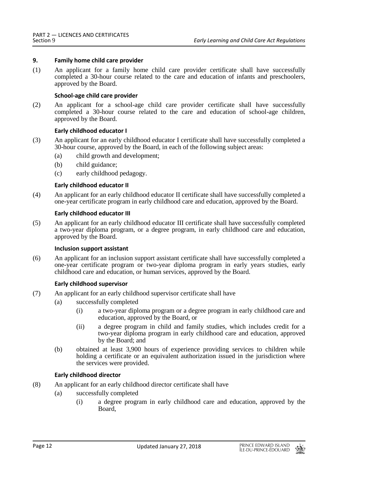### **9. Family home child care provider**

(1) An applicant for a family home child care provider certificate shall have successfully completed a 30-hour course related to the care and education of infants and preschoolers, approved by the Board.

#### **School-age child care provider**

(2) An applicant for a school-age child care provider certificate shall have successfully completed a 30-hour course related to the care and education of school-age children, approved by the Board.

#### **Early childhood educator I**

- (3) An applicant for an early childhood educator I certificate shall have successfully completed a 30-hour course, approved by the Board, in each of the following subject areas:
	- (a) child growth and development;
	- (b) child guidance;
	- (c) early childhood pedagogy.

#### **Early childhood educator II**

(4) An applicant for an early childhood educator II certificate shall have successfully completed a one-year certificate program in early childhood care and education, approved by the Board.

#### **Early childhood educator III**

(5) An applicant for an early childhood educator III certificate shall have successfully completed a two-year diploma program, or a degree program, in early childhood care and education, approved by the Board.

#### **Inclusion support assistant**

(6) An applicant for an inclusion support assistant certificate shall have successfully completed a one-year certificate program or two-year diploma program in early years studies, early childhood care and education, or human services, approved by the Board.

#### **Early childhood supervisor**

- (7) An applicant for an early childhood supervisor certificate shall have
	- (a) successfully completed
		- (i) a two-year diploma program or a degree program in early childhood care and education, approved by the Board, or
		- (ii) a degree program in child and family studies, which includes credit for a two-year diploma program in early childhood care and education, approved by the Board; and
	- (b) obtained at least 3,900 hours of experience providing services to children while holding a certificate or an equivalent authorization issued in the jurisdiction where the services were provided.

#### **Early childhood director**

- (8) An applicant for an early childhood director certificate shall have
	- (a) successfully completed
		- (i) a degree program in early childhood care and education, approved by the Board,

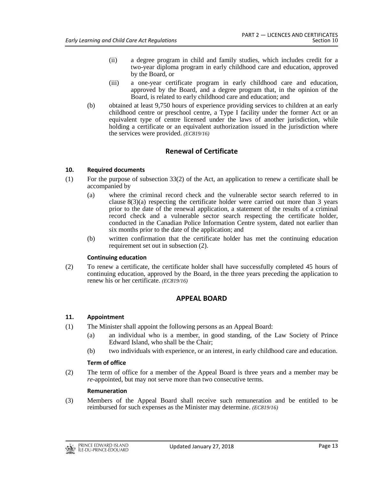- (ii) a degree program in child and family studies, which includes credit for a two-year diploma program in early childhood care and education, approved by the Board, or
- (iii) a one-year certificate program in early childhood care and education, approved by the Board, and a degree program that, in the opinion of the Board, is related to early childhood care and education; and
- (b) obtained at least 9,750 hours of experience providing services to children at an early childhood centre or preschool centre, a Type I facility under the former Act or an equivalent type of centre licensed under the laws of another jurisdiction, while holding a certificate or an equivalent authorization issued in the jurisdiction where the services were provided. *(EC819/16)*

# **Renewal of Certificate**

## **10. Required documents**

- (1) For the purpose of subsection 33(2) of the Act, an application to renew a certificate shall be accompanied by
	- (a) where the criminal record check and the vulnerable sector search referred to in clause  $8(3)(a)$  respecting the certificate holder were carried out more than 3 years prior to the date of the renewal application, a statement of the results of a criminal record check and a vulnerable sector search respecting the certificate holder, conducted in the Canadian Police Information Centre system, dated not earlier than six months prior to the date of the application; and
	- (b) written confirmation that the certificate holder has met the continuing education requirement set out in subsection (2).

#### **Continuing education**

(2) To renew a certificate, the certificate holder shall have successfully completed 45 hours of continuing education, approved by the Board, in the three years preceding the application to renew his or her certificate. *(EC819/16)*

# **APPEAL BOARD**

#### **11. Appointment**

- (1) The Minister shall appoint the following persons as an Appeal Board:
	- (a) an individual who is a member, in good standing, of the Law Society of Prince Edward Island, who shall be the Chair;
	- (b) two individuals with experience, or an interest, in early childhood care and education.

#### **Term of office**

(2) The term of office for a member of the Appeal Board is three years and a member may be *re*-appointed, but may not serve more than two consecutive terms.

#### **Remuneration**

(3) Members of the Appeal Board shall receive such remuneration and be entitled to be reimbursed for such expenses as the Minister may determine. *(EC819/16)*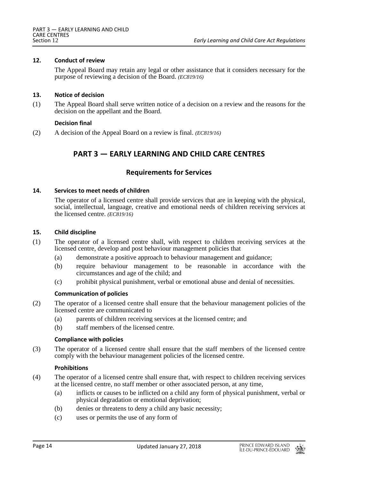### **12. Conduct of review**

The Appeal Board may retain any legal or other assistance that it considers necessary for the purpose of reviewing a decision of the Board. *(EC819/16)*

### **13. Notice of decision**

(1) The Appeal Board shall serve written notice of a decision on a review and the reasons for the decision on the appellant and the Board.

## **Decision final**

(2) A decision of the Appeal Board on a review is final. *(EC819/16)*

# **PART 3 — EARLY LEARNING AND CHILD CARE CENTRES**

# **Requirements for Services**

#### **14. Services to meet needs of children**

The operator of a licensed centre shall provide services that are in keeping with the physical, social, intellectual, language, creative and emotional needs of children receiving services at the licensed centre. *(EC819/16)*

#### **15. Child discipline**

- (1) The operator of a licensed centre shall, with respect to children receiving services at the licensed centre, develop and post behaviour management policies that
	- (a) demonstrate a positive approach to behaviour management and guidance;
	- (b) require behaviour management to be reasonable in accordance with the circumstances and age of the child; and
	- (c) prohibit physical punishment, verbal or emotional abuse and denial of necessities.

# **Communication of policies**

- (2) The operator of a licensed centre shall ensure that the behaviour management policies of the licensed centre are communicated to
	- (a) parents of children receiving services at the licensed centre; and
	- (b) staff members of the licensed centre.

#### **Compliance with policies**

(3) The operator of a licensed centre shall ensure that the staff members of the licensed centre comply with the behaviour management policies of the licensed centre.

#### **Prohibitions**

- (4) The operator of a licensed centre shall ensure that, with respect to children receiving services at the licensed centre, no staff member or other associated person, at any time,
	- (a) inflicts or causes to be inflicted on a child any form of physical punishment, verbal or physical degradation or emotional deprivation;
	- (b) denies or threatens to deny a child any basic necessity;
	- (c) uses or permits the use of any form of

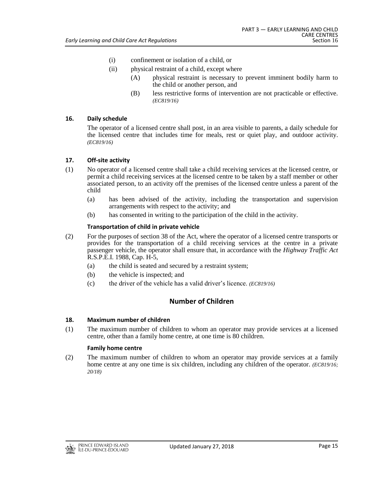- (i) confinement or isolation of a child, or
- (ii) physical restraint of a child, except where
	- (A) physical restraint is necessary to prevent imminent bodily harm to the child or another person, and
	- (B) less restrictive forms of intervention are not practicable or effective. *(EC819/16)*

## **16. Daily schedule**

The operator of a licensed centre shall post, in an area visible to parents, a daily schedule for the licensed centre that includes time for meals, rest or quiet play, and outdoor activity. *(EC819/16)*

## **17. Off-site activity**

- (1) No operator of a licensed centre shall take a child receiving services at the licensed centre, or permit a child receiving services at the licensed centre to be taken by a staff member or other associated person, to an activity off the premises of the licensed centre unless a parent of the child
	- (a) has been advised of the activity, including the transportation and supervision arrangements with respect to the activity; and
	- (b) has consented in writing to the participation of the child in the activity.

## **Transportation of child in private vehicle**

- (2) For the purposes of section 38 of the Act, where the operator of a licensed centre transports or provides for the transportation of a child receiving services at the centre in a private passenger vehicle, the operator shall ensure that, in accordance with the *Highway Traffic Act* R.S.P.E.I. 1988, Cap. H-5,
	- (a) the child is seated and secured by a restraint system;
	- (b) the vehicle is inspected; and
	- (c) the driver of the vehicle has a valid driver's licence. *(EC819/16)*

# **Number of Children**

#### **18. Maximum number of children**

(1) The maximum number of children to whom an operator may provide services at a licensed centre, other than a family home centre, at one time is 80 children.

#### **Family home centre**

(2) The maximum number of children to whom an operator may provide services at a family home centre at any one time is six children, including any children of the operator. *(EC819/16; 20/18)*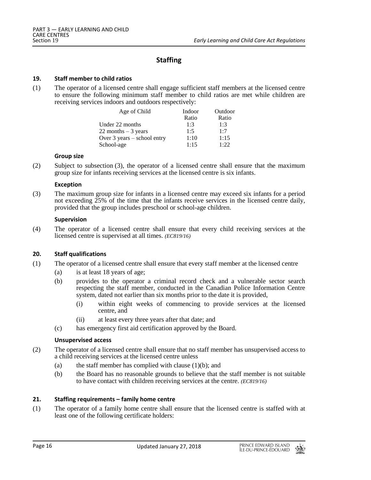# **Staffing**

#### **19. Staff member to child ratios**

(1) The operator of a licensed centre shall engage sufficient staff members at the licensed centre to ensure the following minimum staff member to child ratios are met while children are receiving services indoors and outdoors respectively:

| Age of Child                | Indoor | Outdoor |
|-----------------------------|--------|---------|
|                             | Ratio  | Ratio   |
| Under 22 months             | 1:3    | 1:3     |
| 22 months $-3$ years        | 1:5    | 1:7     |
| Over 3 years – school entry | 1:10   | 1:15    |
| School-age                  | 1:15   | 1:22    |

#### **Group size**

(2) Subject to subsection (3), the operator of a licensed centre shall ensure that the maximum group size for infants receiving services at the licensed centre is six infants.

#### **Exception**

(3) The maximum group size for infants in a licensed centre may exceed six infants for a period not exceeding 25% of the time that the infants receive services in the licensed centre daily, provided that the group includes preschool or school-age children.

#### **Supervision**

(4) The operator of a licensed centre shall ensure that every child receiving services at the licensed centre is supervised at all times. *(EC819/16)*

#### **20. Staff qualifications**

- (1) The operator of a licensed centre shall ensure that every staff member at the licensed centre
	- (a) is at least 18 years of age;
	- (b) provides to the operator a criminal record check and a vulnerable sector search respecting the staff member, conducted in the Canadian Police Information Centre system, dated not earlier than six months prior to the date it is provided,
		- (i) within eight weeks of commencing to provide services at the licensed centre, and
		- (ii) at least every three years after that date; and
	- (c) has emergency first aid certification approved by the Board.

#### **Unsupervised access**

- (2) The operator of a licensed centre shall ensure that no staff member has unsupervised access to a child receiving services at the licensed centre unless
	- (a) the staff member has complied with clause  $(1)(b)$ ; and
	- (b) the Board has no reasonable grounds to believe that the staff member is not suitable to have contact with children receiving services at the centre. *(EC819/16)*

#### **21. Staffing requirements – family home centre**

(1) The operator of a family home centre shall ensure that the licensed centre is staffed with at least one of the following certificate holders:

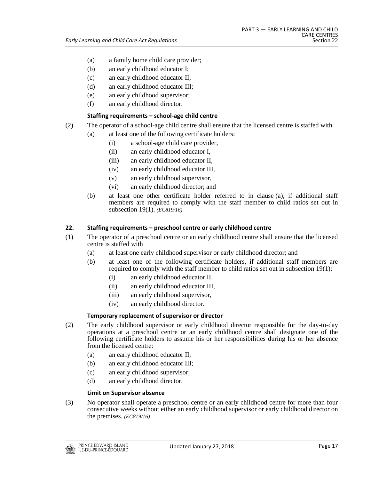- (a) a family home child care provider;
- (b) an early childhood educator I;
- (c) an early childhood educator II;
- (d) an early childhood educator III;
- (e) an early childhood supervisor;
- (f) an early childhood director.

# **Staffing requirements – school-age child centre**

- (2) The operator of a school-age child centre shall ensure that the licensed centre is staffed with
	- (a) at least one of the following certificate holders:
		- (i) a school-age child care provider,
		- (ii) an early childhood educator I,
		- (iii) an early childhood educator II,
		- (iv) an early childhood educator III,
		- (v) an early childhood supervisor,
		- (vi) an early childhood director; and
	- (b) at least one other certificate holder referred to in clause (a), if additional staff members are required to comply with the staff member to child ratios set out in subsection 19(1). *(EC819/16)*

# **22. Staffing requirements – preschool centre or early childhood centre**

- (1) The operator of a preschool centre or an early childhood centre shall ensure that the licensed centre is staffed with
	- (a) at least one early childhood supervisor or early childhood director; and
	- (b) at least one of the following certificate holders, if additional staff members are required to comply with the staff member to child ratios set out in subsection 19(1):
		- (i) an early childhood educator II,
		- (ii) an early childhood educator III,
		- (iii) an early childhood supervisor,
		- (iv) an early childhood director.

# **Temporary replacement of supervisor or director**

- (2) The early childhood supervisor or early childhood director responsible for the day-to-day operations at a preschool centre or an early childhood centre shall designate one of the following certificate holders to assume his or her responsibilities during his or her absence from the licensed centre:
	- (a) an early childhood educator II;
	- (b) an early childhood educator III;
	- (c) an early childhood supervisor;
	- (d) an early childhood director.

# **Limit on Supervisor absence**

(3) No operator shall operate a preschool centre or an early childhood centre for more than four consecutive weeks without either an early childhood supervisor or early childhood director on the premises. *(EC819/16)*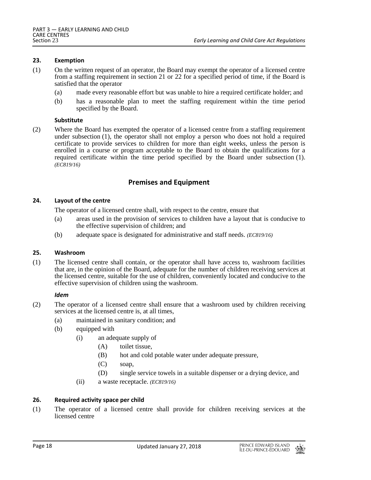#### **23. Exemption**

- (1) On the written request of an operator, the Board may exempt the operator of a licensed centre from a staffing requirement in section 21 or 22 for a specified period of time, if the Board is satisfied that the operator
	- (a) made every reasonable effort but was unable to hire a required certificate holder; and
	- (b) has a reasonable plan to meet the staffing requirement within the time period specified by the Board.

#### **Substitute**

(2) Where the Board has exempted the operator of a licensed centre from a staffing requirement under subsection (1), the operator shall not employ a person who does not hold a required certificate to provide services to children for more than eight weeks, unless the person is enrolled in a course or program acceptable to the Board to obtain the qualifications for a required certificate within the time period specified by the Board under subsection (1). *(EC819/16)*

# **Premises and Equipment**

#### **24. Layout of the centre**

The operator of a licensed centre shall, with respect to the centre, ensure that

- (a) areas used in the provision of services to children have a layout that is conducive to the effective supervision of children; and
- (b) adequate space is designated for administrative and staff needs. *(EC819/16)*

#### **25. Washroom**

(1) The licensed centre shall contain, or the operator shall have access to, washroom facilities that are, in the opinion of the Board, adequate for the number of children receiving services at the licensed centre, suitable for the use of children, conveniently located and conducive to the effective supervision of children using the washroom.

#### *Idem*

- (2) The operator of a licensed centre shall ensure that a washroom used by children receiving services at the licensed centre is, at all times,
	- (a) maintained in sanitary condition; and
	- (b) equipped with
		- (i) an adequate supply of
			- (A) toilet tissue,
			- (B) hot and cold potable water under adequate pressure,
			- (C) soap,
			- (D) single service towels in a suitable dispenser or a drying device, and
		- (ii) a waste receptacle. *(EC819/16)*

# **26. Required activity space per child**

(1) The operator of a licensed centre shall provide for children receiving services at the licensed centre

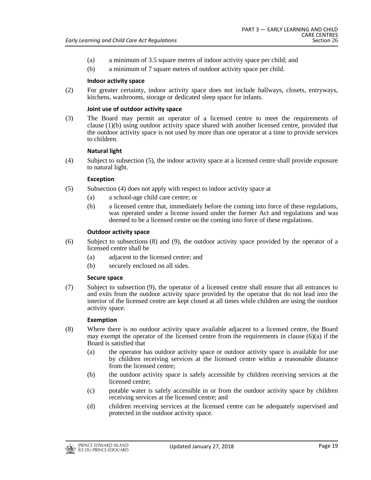- (a) a minimum of 3.5 square metres of indoor activity space per child; and
- (b) a minimum of 7 square metres of outdoor activity space per child.

### **Indoor activity space**

(2) For greater certainty, indoor activity space does not include hallways, closets, entryways, kitchens, washrooms, storage or dedicated sleep space for infants.

### **Joint use of outdoor activity space**

(3) The Board may permit an operator of a licensed centre to meet the requirements of clause (1)(b) using outdoor activity space shared with another licensed centre, provided that the outdoor activity space is not used by more than one operator at a time to provide services to children.

#### **Natural light**

(4) Subject to subsection (5), the indoor activity space at a licensed centre shall provide exposure to natural light.

## **Exception**

- (5) Subsection (4) does not apply with respect to indoor activity space at
	- (a) a school-age child care centre; or
	- (b) a licensed centre that, immediately before the coming into force of these regulations, was operated under a license issued under the former Act and regulations and was deemed to be a licensed centre on the coming into force of these regulations.

## **Outdoor activity space**

- (6) Subject to subsections (8) and (9), the outdoor activity space provided by the operator of a licensed centre shall be
	- (a) adjacent to the licensed centre; and
	- (b) securely enclosed on all sides.

#### **Secure space**

(7) Subject to subsection (9), the operator of a licensed centre shall ensure that all entrances to and exits from the outdoor activity space provided by the operator that do not lead into the interior of the licensed centre are kept closed at all times while children are using the outdoor activity space.

#### **Exemption**

- (8) Where there is no outdoor activity space available adjacent to a licensed centre, the Board may exempt the operator of the licensed centre from the requirements in clause  $(6)(a)$  if the Board is satisfied that
	- (a) the operator has outdoor activity space or outdoor activity space is available for use by children receiving services at the licensed centre within a reasonable distance from the licensed centre;
	- (b) the outdoor activity space is safely accessible by children receiving services at the licensed centre;
	- (c) potable water is safely accessible in or from the outdoor activity space by children receiving services at the licensed centre; and
	- (d) children receiving services at the licensed centre can be adequately supervised and protected in the outdoor activity space.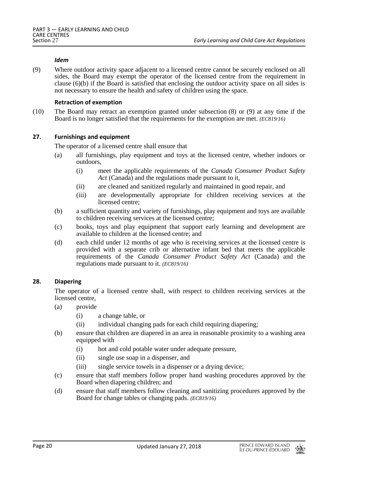#### *Idem*

(9) Where outdoor activity space adjacent to a licensed centre cannot be securely enclosed on all sides, the Board may exempt the operator of the licensed centre from the requirement in clause  $(6)(b)$  if the Board is satisfied that enclosing the outdoor activity space on all sides is not necessary to ensure the health and safety of children using the space.

#### **Retraction of exemption**

(10) The Board may retract an exemption granted under subsection (8) or (9) at any time if the Board is no longer satisfied that the requirements for the exemption are met. *(EC819/16)*

## **27. Furnishings and equipment**

The operator of a licensed centre shall ensure that

- (a) all furnishings, play equipment and toys at the licensed centre, whether indoors or outdoors,
	- (i) meet the applicable requirements of the *Canada Consumer Product Safety Act* (Canada) and the regulations made pursuant to it,
	- (ii) are cleaned and sanitized regularly and maintained in good repair, and
	- (iii) are developmentally appropriate for children receiving services at the licensed centre;
- (b) a sufficient quantity and variety of furnishings, play equipment and toys are available to children receiving services at the licensed centre;
- (c) books, toys and play equipment that support early learning and development are available to children at the licensed centre; and
- (d) each child under 12 months of age who is receiving services at the licensed centre is provided with a separate crib or alternative infant bed that meets the applicable requirements of the *Canada Consumer Product Safety Act* (Canada) and the regulations made pursuant to it. *(EC819/16)*

#### **28. Diapering**

The operator of a licensed centre shall, with respect to children receiving services at the licensed centre.

- (a) provide
	- (i) a change table, or
	- (ii) individual changing pads for each child requiring diapering;
- (b) ensure that children are diapered in an area in reasonable proximity to a washing area equipped with
	- (i) hot and cold potable water under adequate pressure,
	- (ii) single use soap in a dispenser, and
	- (iii) single service towels in a dispenser or a drying device;
- (c) ensure that staff members follow proper hand washing procedures approved by the Board when diapering children; and
- (d) ensure that staff members follow cleaning and sanitizing procedures approved by the Board for change tables or changing pads. *(EC819/16)*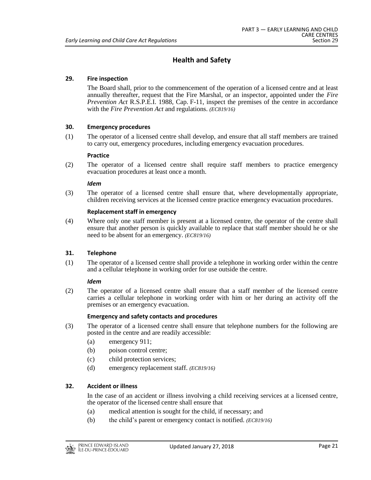# **Health and Safety**

# **29. Fire inspection**

The Board shall, prior to the commencement of the operation of a licensed centre and at least annually thereafter, request that the Fire Marshal, or an inspector, appointed under the *Fire Prevention Act* R.S.P.E.I. 1988, Cap. F-11, inspect the premises of the centre in accordance with the *Fire Prevention Act* and regulations. *(EC819/16)*

## **30. Emergency procedures**

(1) The operator of a licensed centre shall develop, and ensure that all staff members are trained to carry out, emergency procedures, including emergency evacuation procedures.

#### **Practice**

(2) The operator of a licensed centre shall require staff members to practice emergency evacuation procedures at least once a month.

#### *Idem*

(3) The operator of a licensed centre shall ensure that, where developmentally appropriate, children receiving services at the licensed centre practice emergency evacuation procedures.

#### **Replacement staff in emergency**

(4) Where only one staff member is present at a licensed centre, the operator of the centre shall ensure that another person is quickly available to replace that staff member should he or she need to be absent for an emergency. *(EC819/16)*

#### **31. Telephone**

(1) The operator of a licensed centre shall provide a telephone in working order within the centre and a cellular telephone in working order for use outside the centre.

#### *Idem*

(2) The operator of a licensed centre shall ensure that a staff member of the licensed centre carries a cellular telephone in working order with him or her during an activity off the premises or an emergency evacuation.

# **Emergency and safety contacts and procedures**

- (3) The operator of a licensed centre shall ensure that telephone numbers for the following are posted in the centre and are readily accessible:
	- (a) emergency 911;
	- (b) poison control centre;
	- (c) child protection services;
	- (d) emergency replacement staff. *(EC819/16)*

# **32. Accident or illness**

In the case of an accident or illness involving a child receiving services at a licensed centre, the operator of the licensed centre shall ensure that

- (a) medical attention is sought for the child, if necessary; and
- (b) the child's parent or emergency contact is notified. *(EC819/16)*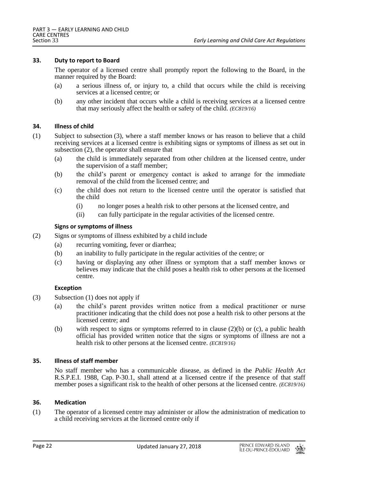## **33. Duty to report to Board**

The operator of a licensed centre shall promptly report the following to the Board, in the manner required by the Board:

- (a) a serious illness of, or injury to, a child that occurs while the child is receiving services at a licensed centre; or
- (b) any other incident that occurs while a child is receiving services at a licensed centre that may seriously affect the health or safety of the child. *(EC819/16)*

#### **34. Illness of child**

- (1) Subject to subsection (3), where a staff member knows or has reason to believe that a child receiving services at a licensed centre is exhibiting signs or symptoms of illness as set out in subsection (2), the operator shall ensure that
	- (a) the child is immediately separated from other children at the licensed centre, under the supervision of a staff member;
	- (b) the child's parent or emergency contact is asked to arrange for the immediate removal of the child from the licensed centre; and
	- (c) the child does not return to the licensed centre until the operator is satisfied that the child
		- (i) no longer poses a health risk to other persons at the licensed centre, and
		- (ii) can fully participate in the regular activities of the licensed centre.

## **Signs or symptoms of illness**

- (2) Signs or symptoms of illness exhibited by a child include
	- (a) recurring vomiting, fever or diarrhea;
	- (b) an inability to fully participate in the regular activities of the centre; or
	- (c) having or displaying any other illness or symptom that a staff member knows or believes may indicate that the child poses a health risk to other persons at the licensed centre.

# **Exception**

- (3) Subsection (1) does not apply if
	- (a) the child's parent provides written notice from a medical practitioner or nurse practitioner indicating that the child does not pose a health risk to other persons at the licensed centre; and
	- (b) with respect to signs or symptoms referred to in clause  $(2)(b)$  or (c), a public health official has provided written notice that the signs or symptoms of illness are not a health risk to other persons at the licensed centre. *(EC819/16)*

### **35. Illness of staff member**

No staff member who has a communicable disease, as defined in the *Public Health Act* R.S.P.E.I. 1988, Cap. P-30.1, shall attend at a licensed centre if the presence of that staff member poses a significant risk to the health of other persons at the licensed centre. *(EC819/16)*

#### **36. Medication**

(1) The operator of a licensed centre may administer or allow the administration of medication to a child receiving services at the licensed centre only if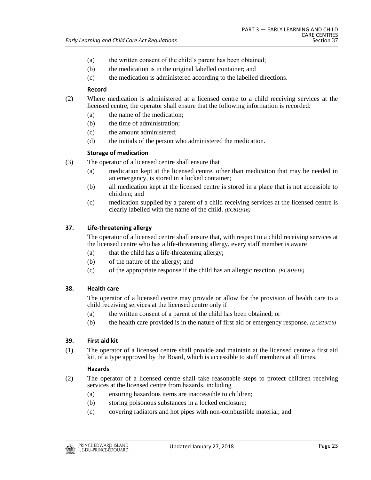- (a) the written consent of the child's parent has been obtained;
- (b) the medication is in the original labelled container; and
- (c) the medication is administered according to the labelled directions.

## **Record**

- (2) Where medication is administered at a licensed centre to a child receiving services at the licensed centre, the operator shall ensure that the following information is recorded:
	- (a) the name of the medication;
	- (b) the time of administration;
	- (c) the amount administered;
	- (d) the initials of the person who administered the medication.

## **Storage of medication**

- (3) The operator of a licensed centre shall ensure that
	- (a) medication kept at the licensed centre, other than medication that may be needed in an emergency, is stored in a locked container;
	- (b) all medication kept at the licensed centre is stored in a place that is not accessible to children; and
	- (c) medication supplied by a parent of a child receiving services at the licensed centre is clearly labelled with the name of the child. *(EC819/16)*

# **37. Life-threatening allergy**

The operator of a licensed centre shall ensure that, with respect to a child receiving services at the licensed centre who has a life-threatening allergy, every staff member is aware

- (a) that the child has a life-threatening allergy;
- (b) of the nature of the allergy; and
- (c) of the appropriate response if the child has an allergic reaction. *(EC819/16)*

# **38. Health care**

The operator of a licensed centre may provide or allow for the provision of health care to a child receiving services at the licensed centre only if

- (a) the written consent of a parent of the child has been obtained; or
- (b) the health care provided is in the nature of first aid or emergency response. *(EC819/16)*

# **39. First aid kit**

(1) The operator of a licensed centre shall provide and maintain at the licensed centre a first aid kit, of a type approved by the Board, which is accessible to staff members at all times.

# **Hazards**

- (2) The operator of a licensed centre shall take reasonable steps to protect children receiving services at the licensed centre from hazards, including
	- (a) ensuring hazardous items are inaccessible to children;
	- (b) storing poisonous substances in a locked enclosure;
	- (c) covering radiators and hot pipes with non-combustible material; and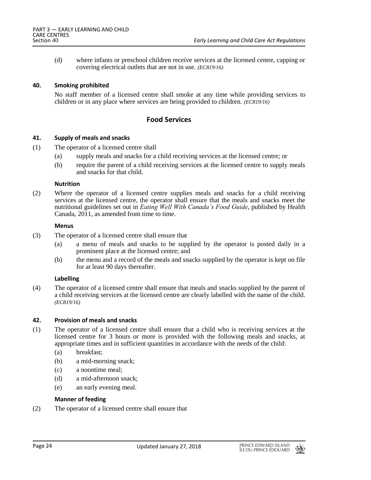(d) where infants or preschool children receive services at the licensed centre, capping or covering electrical outlets that are not in use. *(EC819/16)*

#### **40. Smoking prohibited**

No staff member of a licensed centre shall smoke at any time while providing services to children or in any place where services are being provided to children. *(EC819/16)*

# **Food Services**

#### **41. Supply of meals and snacks**

- (1) The operator of a licensed centre shall
	- (a) supply meals and snacks for a child receiving services at the licensed centre; or
	- (b) require the parent of a child receiving services at the licensed centre to supply meals and snacks for that child.

#### **Nutrition**

(2) Where the operator of a licensed centre supplies meals and snacks for a child receiving services at the licensed centre, the operator shall ensure that the meals and snacks meet the nutritional guidelines set out in *Eating Well With Canada's Food Guide*, published by Health Canada, 2011, as amended from time to time.

#### **Menus**

- (3) The operator of a licensed centre shall ensure that
	- (a) a menu of meals and snacks to be supplied by the operator is posted daily in a prominent place at the licensed centre; and
	- (b) the menu and a record of the meals and snacks supplied by the operator is kept on file for at least 90 days thereafter.

#### **Labelling**

(4) The operator of a licensed centre shall ensure that meals and snacks supplied by the parent of a child receiving services at the licensed centre are clearly labelled with the name of the child. *(EC819/16)*

#### **42. Provision of meals and snacks**

- (1) The operator of a licensed centre shall ensure that a child who is receiving services at the licensed centre for 3 hours or more is provided with the following meals and snacks, at appropriate times and in sufficient quantities in accordance with the needs of the child:
	- (a) breakfast;
	- (b) a mid-morning snack;
	- (c) a noontime meal;
	- (d) a mid-afternoon snack;
	- (e) an early evening meal.

## **Manner of feeding**

(2) The operator of a licensed centre shall ensure that

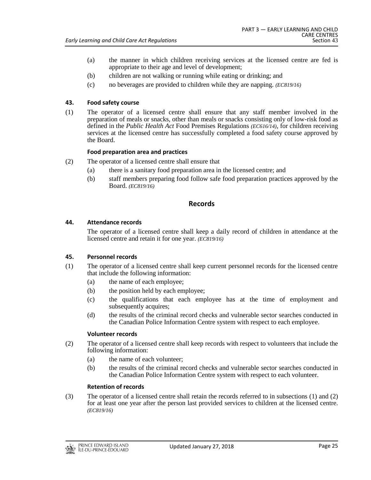- (a) the manner in which children receiving services at the licensed centre are fed is appropriate to their age and level of development;
- (b) children are not walking or running while eating or drinking; and
- (c) no beverages are provided to children while they are napping. *(EC819/16)*

# **43. Food safety course**

(1) The operator of a licensed centre shall ensure that any staff member involved in the preparation of meals or snacks, other than meals or snacks consisting only of low-risk food as defined in the *Public Health Act* Food Premises Regulations *(EC616/14)*, for children receiving services at the licensed centre has successfully completed a food safety course approved by the Board.

# **Food preparation area and practices**

- (2) The operator of a licensed centre shall ensure that
	- (a) there is a sanitary food preparation area in the licensed centre; and
	- (b) staff members preparing food follow safe food preparation practices approved by the Board. *(EC819/16)*

# **Records**

# **44. Attendance records**

The operator of a licensed centre shall keep a daily record of children in attendance at the licensed centre and retain it for one year. *(EC819/16)*

# **45. Personnel records**

- (1) The operator of a licensed centre shall keep current personnel records for the licensed centre that include the following information:
	- (a) the name of each employee;
	- (b) the position held by each employee;
	- (c) the qualifications that each employee has at the time of employment and subsequently acquires;
	- (d) the results of the criminal record checks and vulnerable sector searches conducted in the Canadian Police Information Centre system with respect to each employee.

# **Volunteer records**

- (2) The operator of a licensed centre shall keep records with respect to volunteers that include the following information:
	- (a) the name of each volunteer;
	- (b) the results of the criminal record checks and vulnerable sector searches conducted in the Canadian Police Information Centre system with respect to each volunteer.

# **Retention of records**

(3) The operator of a licensed centre shall retain the records referred to in subsections (1) and (2) for at least one year after the person last provided services to children at the licensed centre. *(EC819/16)*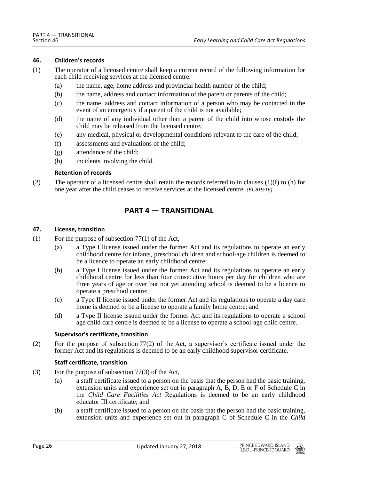#### **46. Children's records**

- (1) The operator of a licensed centre shall keep a current record of the following information for each child receiving services at the licensed centre:
	- (a) the name, age, home address and provincial health number of the child;
	- (b) the name, address and contact information of the parent or parents of the child;
	- (c) the name, address and contact information of a person who may be contacted in the event of an emergency if a parent of the child is not available;
	- (d) the name of any individual other than a parent of the child into whose custody the child may be released from the licensed centre;
	- (e) any medical, physical or developmental conditions relevant to the care of the child;
	- (f) assessments and evaluations of the child;
	- (g) attendance of the child;
	- (h) incidents involving the child.

## **Retention of records**

(2) The operator of a licensed centre shall retain the records referred to in clauses (1)(f) to (h) for one year after the child ceases to receive services at the licensed centre. *(EC819/16)*

# **PART 4 — TRANSITIONAL**

## **47. License, transition**

- (1) For the purpose of subsection  $77(1)$  of the Act,
	- (a) a Type I license issued under the former Act and its regulations to operate an early childhood centre for infants, preschool children and school-age children is deemed to be a licence to operate an early childhood centre;
	- (b) a Type I license issued under the former Act and its regulations to operate an early childhood centre for less than four consecutive hours per day for children who are three years of age or over but not yet attending school is deemed to be a licence to operate a preschool centre;
	- (c) a Type II license issued under the former Act and its regulations to operate a day care home is deemed to be a license to operate a family home centre; and
	- (d) a Type II license issued under the former Act and its regulations to operate a school age child care centre is deemed to be a license to operate a school-age child centre.

#### **Supervisor's certificate, transition**

(2) For the purpose of subsection 77(2) of the Act, a supervisor's certificate issued under the former Act and its regulations is deemed to be an early childhood supervisor certificate.

# **Staff certificate, transition**

- (3) For the purpose of subsection 77(3) of the Act,
	- (a) a staff certificate issued to a person on the basis that the person had the basic training, extension units and experience set out in paragraph A, B, D, E or F of Schedule C in the *Child Care Facilities Act* Regulations is deemed to be an early childhood educator III certificate; and
	- (b) a staff certificate issued to a person on the basis that the person had the basic training, extension units and experience set out in paragraph C of Schedule C in the *Child*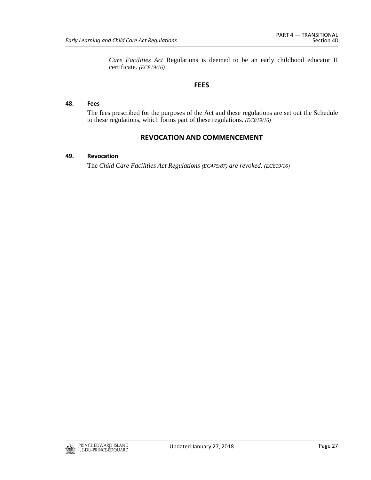*Care Facilities Act* Regulations is deemed to be an early childhood educator II certificate. *(EC819/16)*

# **FEES**

## **48. Fees**

The fees prescribed for the purposes of the Act and these regulations are set out the Schedule to these regulations, which forms part of these regulations. *(EC819/16)*

# **REVOCATION AND COMMENCEMENT**

# **49. Revocation**

The *Child Care Facilities Act Regulations (EC475/87) are revoked. (EC819/16)*